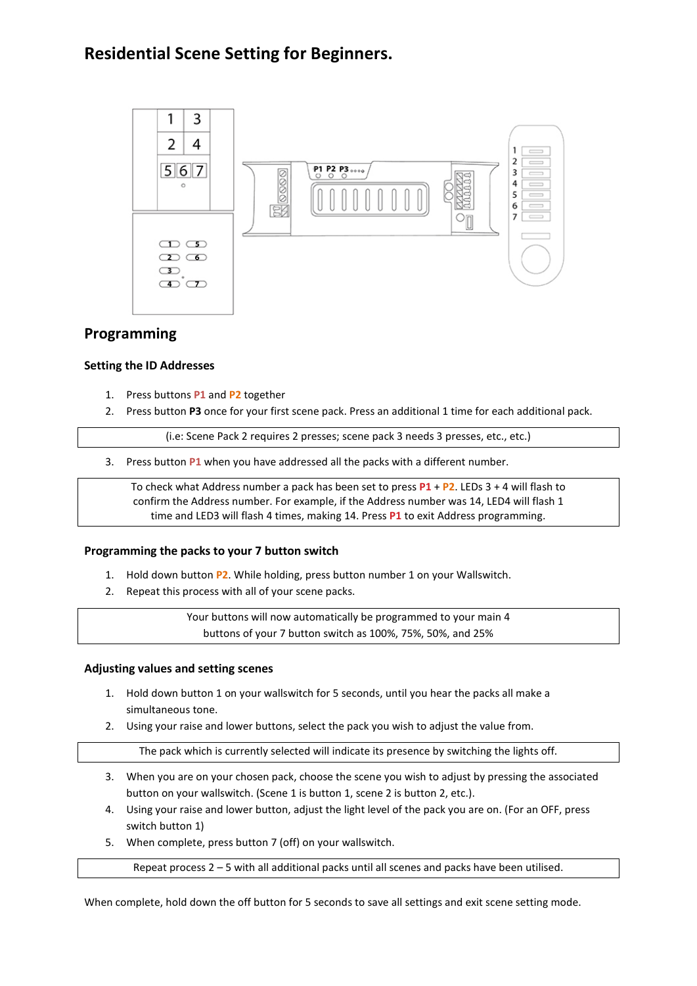# **Residential Scene Setting for Beginners.**



## **Programming**

#### **Setting the ID Addresses**

- 1. Press buttons **P1** and **P2** together
- 2. Press button **P3** once for your first scene pack. Press an additional 1 time for each additional pack.

(i.e: Scene Pack 2 requires 2 presses; scene pack 3 needs 3 presses, etc., etc.)

3. Press button **P1** when you have addressed all the packs with a different number.

To check what Address number a pack has been set to press **P1** + **P2**. LEDs 3 + 4 will flash to confirm the Address number. For example, if the Address number was 14, LED4 will flash 1 time and LED3 will flash 4 times, making 14. Press **P1** to exit Address programming.

#### **Programming the packs to your 7 button switch**

- 1. Hold down button **P2**. While holding, press button number 1 on your Wallswitch.
- 2. Repeat this process with all of your scene packs.

Your buttons will now automatically be programmed to your main 4 buttons of your 7 button switch as 100%, 75%, 50%, and 25%

#### **Adjusting values and setting scenes**

- 1. Hold down button 1 on your wallswitch for 5 seconds, until you hear the packs all make a simultaneous tone.
- 2. Using your raise and lower buttons, select the pack you wish to adjust the value from.

The pack which is currently selected will indicate its presence by switching the lights off.

- 3. When you are on your chosen pack, choose the scene you wish to adjust by pressing the associated button on your wallswitch. (Scene 1 is button 1, scene 2 is button 2, etc.).
- 4. Using your raise and lower button, adjust the light level of the pack you are on. (For an OFF, press switch button 1)
- 5. When complete, press button 7 (off) on your wallswitch.

Repeat process 2 – 5 with all additional packs until all scenes and packs have been utilised.

When complete, hold down the off button for 5 seconds to save all settings and exit scene setting mode.